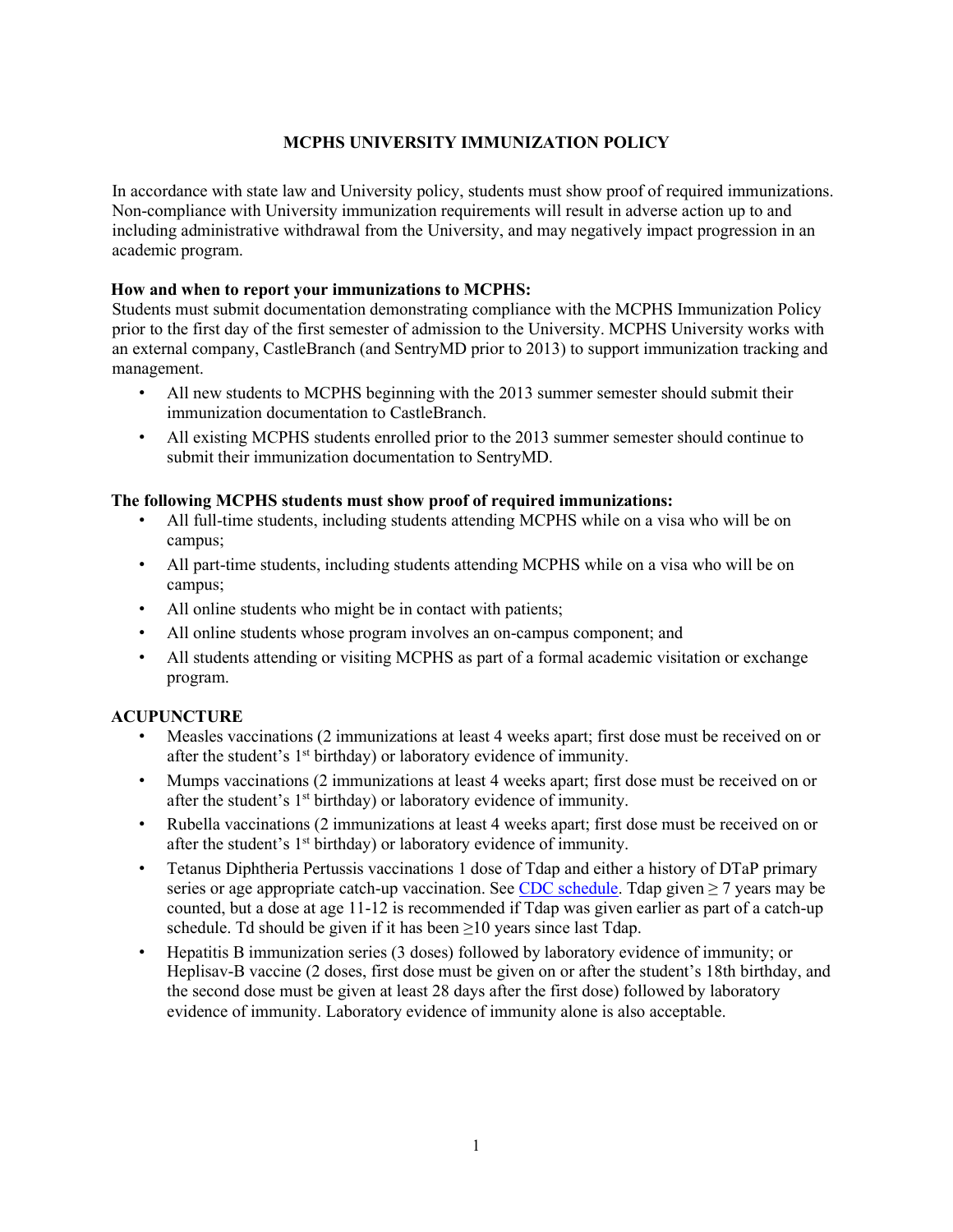## **MCPHS UNIVERSITY IMMUNIZATION POLICY**

In accordance with state law and University policy, students must show proof of required immunizations. Non-compliance with University immunization requirements will result in adverse action up to and including administrative withdrawal from the University, and may negatively impact progression in an academic program.

### **How and when to report your immunizations to MCPHS:**

Students must submit documentation demonstrating compliance with the MCPHS Immunization Policy prior to the first day of the first semester of admission to the University. MCPHS University works with an external company, CastleBranch (and SentryMD prior to 2013) to support immunization tracking and management.

- All new students to MCPHS beginning with the 2013 summer semester should submit their immunization documentation to CastleBranch.
- All existing MCPHS students enrolled prior to the 2013 summer semester should continue to submit their immunization documentation to SentryMD.

## **The following MCPHS students must show proof of required immunizations:**

- All full-time students, including students attending MCPHS while on a visa who will be on campus;
- All part-time students, including students attending MCPHS while on a visa who will be on campus;
- All online students who might be in contact with patients;
- All online students whose program involves an on-campus component; and
- All students attending or visiting MCPHS as part of a formal academic visitation or exchange program.

### **ACUPUNCTURE**

- Measles vaccinations (2 immunizations at least 4 weeks apart; first dose must be received on or after the student's  $1<sup>st</sup>$  birthday) or laboratory evidence of immunity.
- Mumps vaccinations (2 immunizations at least 4 weeks apart; first dose must be received on or after the student's 1<sup>st</sup> birthday) or laboratory evidence of immunity.
- Rubella vaccinations (2 immunizations at least 4 weeks apart; first dose must be received on or after the student's 1<sup>st</sup> birthday) or laboratory evidence of immunity.
- Tetanus Diphtheria Pertussis vaccinations 1 dose of Tdap and either a history of DTaP primary series or age appropriate catch-up vaccination. See [CDC schedule.](https://www.cdc.gov/vaccines/schedules/hcp/imz/catchup.html#note-tdap) Tdap given  $\geq$  7 years may be counted, but a dose at age 11-12 is recommended if Tdap was given earlier as part of a catch-up schedule. Td should be given if it has been  $\geq 10$  years since last Tdap.
- Hepatitis B immunization series (3 doses) followed by laboratory evidence of immunity; or Heplisav-B vaccine (2 doses, first dose must be given on or after the student's 18th birthday, and the second dose must be given at least 28 days after the first dose) followed by laboratory evidence of immunity. Laboratory evidence of immunity alone is also acceptable.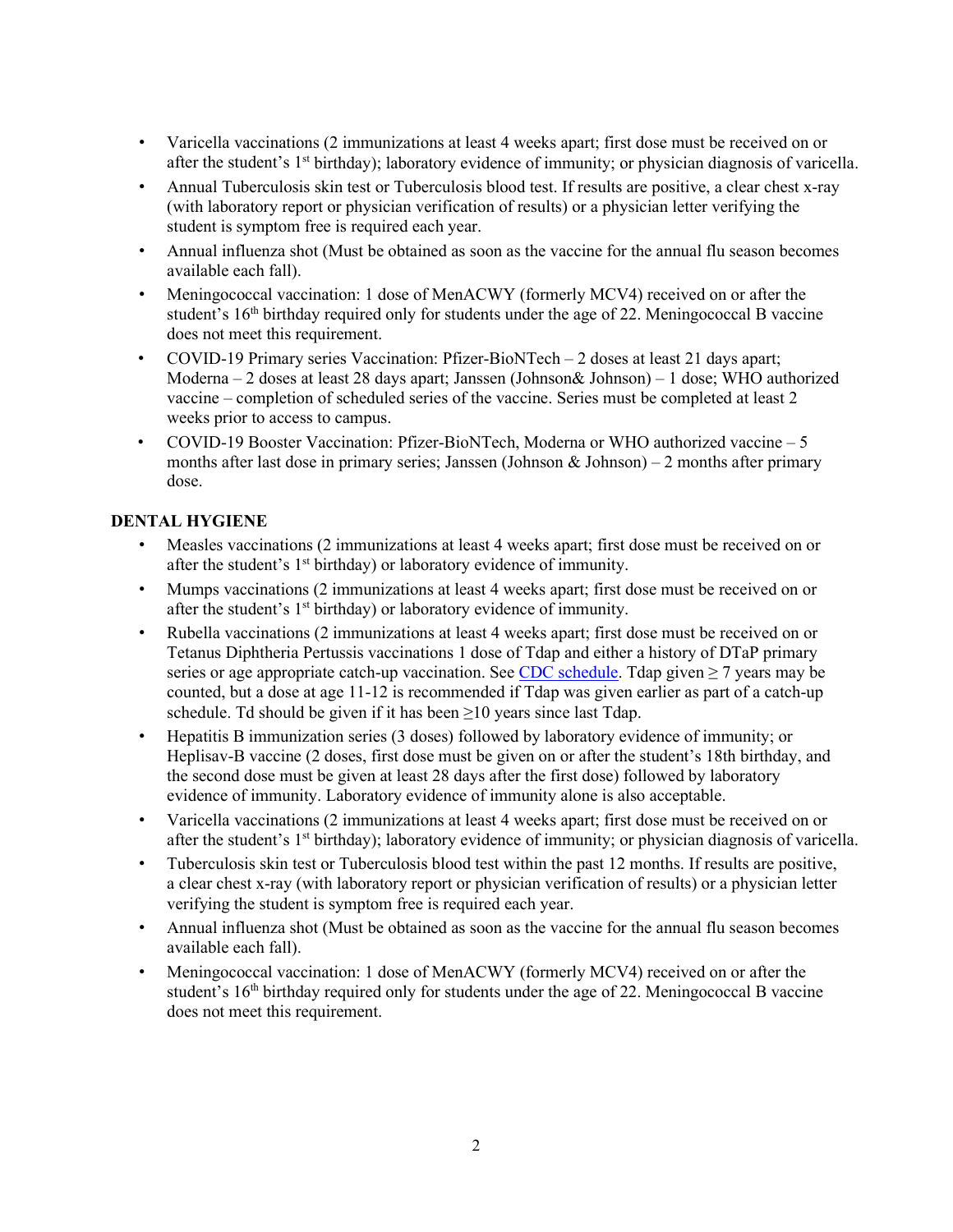- Varicella vaccinations (2 immunizations at least 4 weeks apart; first dose must be received on or after the student's 1<sup>st</sup> birthday); laboratory evidence of immunity; or physician diagnosis of varicella.
- Annual Tuberculosis skin test or Tuberculosis blood test. If results are positive, a clear chest x-ray (with laboratory report or physician verification of results) or a physician letter verifying the student is symptom free is required each year.
- Annual influenza shot (Must be obtained as soon as the vaccine for the annual flu season becomes available each fall).
- Meningococcal vaccination: 1 dose of MenACWY (formerly MCV4) received on or after the student's  $16<sup>th</sup>$  birthday required only for students under the age of 22. Meningococcal B vaccine does not meet this requirement.
- COVID-19 Primary series Vaccination: Pfizer-BioNTech 2 doses at least 21 days apart; Moderna – 2 doses at least 28 days apart; Janssen (Johnson& Johnson) – 1 dose; WHO authorized vaccine – completion of scheduled series of the vaccine. Series must be completed at least 2 weeks prior to access to campus.
- COVID-19 Booster Vaccination: Pfizer-BioNTech, Moderna or WHO authorized vaccine 5 months after last dose in primary series; Janssen (Johnson & Johnson) – 2 months after primary dose.

# **DENTAL HYGIENE**

- Measles vaccinations (2 immunizations at least 4 weeks apart; first dose must be received on or after the student's 1<sup>st</sup> birthday) or laboratory evidence of immunity.
- Mumps vaccinations (2 immunizations at least 4 weeks apart; first dose must be received on or after the student's 1<sup>st</sup> birthday) or laboratory evidence of immunity.
- Rubella vaccinations (2 immunizations at least 4 weeks apart; first dose must be received on or Tetanus Diphtheria Pertussis vaccinations 1 dose of Tdap and either a history of DTaP primary series or age appropriate catch-up vaccination. See [CDC schedule.](https://www.cdc.gov/vaccines/schedules/hcp/imz/catchup.html#note-tdap) Tdap given  $\geq 7$  years may be counted, but a dose at age 11-12 is recommended if Tdap was given earlier as part of a catch-up schedule. Td should be given if it has been  $\geq 10$  years since last Tdap.
- Hepatitis B immunization series (3 doses) followed by laboratory evidence of immunity; or Heplisav-B vaccine (2 doses, first dose must be given on or after the student's 18th birthday, and the second dose must be given at least 28 days after the first dose) followed by laboratory evidence of immunity. Laboratory evidence of immunity alone is also acceptable.
- Varicella vaccinations (2 immunizations at least 4 weeks apart; first dose must be received on or after the student's 1<sup>st</sup> birthday); laboratory evidence of immunity; or physician diagnosis of varicella.
- Tuberculosis skin test or Tuberculosis blood test within the past 12 months. If results are positive, a clear chest x-ray (with laboratory report or physician verification of results) or a physician letter verifying the student is symptom free is required each year.
- Annual influenza shot (Must be obtained as soon as the vaccine for the annual flu season becomes available each fall).
- Meningococcal vaccination: 1 dose of MenACWY (formerly MCV4) received on or after the student's 16<sup>th</sup> birthday required only for students under the age of 22. Meningococcal B vaccine does not meet this requirement.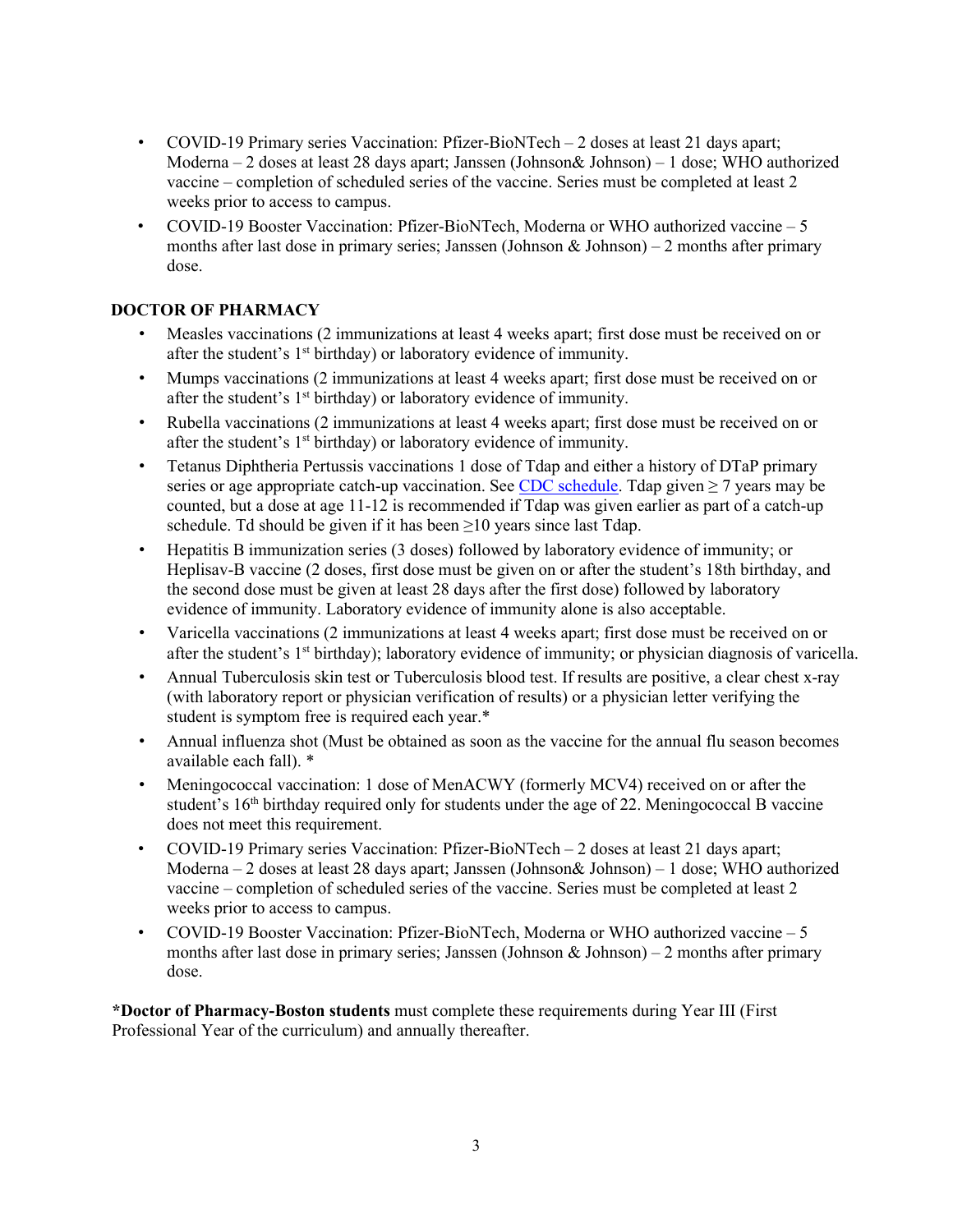- COVID-19 Primary series Vaccination: Pfizer-BioNTech 2 doses at least 21 days apart; Moderna – 2 doses at least 28 days apart; Janssen (Johnson& Johnson) – 1 dose; WHO authorized vaccine – completion of scheduled series of the vaccine. Series must be completed at least 2 weeks prior to access to campus.
- COVID-19 Booster Vaccination: Pfizer-BioNTech, Moderna or WHO authorized vaccine 5 months after last dose in primary series; Janssen (Johnson & Johnson) – 2 months after primary dose.

# **DOCTOR OF PHARMACY**

- Measles vaccinations (2 immunizations at least 4 weeks apart; first dose must be received on or after the student's  $1<sup>st</sup>$  birthday) or laboratory evidence of immunity.
- Mumps vaccinations (2 immunizations at least 4 weeks apart; first dose must be received on or after the student's  $1<sup>st</sup>$  birthday) or laboratory evidence of immunity.
- Rubella vaccinations (2 immunizations at least 4 weeks apart; first dose must be received on or after the student's  $1<sup>st</sup>$  birthday) or laboratory evidence of immunity.
- Tetanus Diphtheria Pertussis vaccinations 1 dose of Tdap and either a history of DTaP primary series or age appropriate catch-up vaccination. See [CDC schedule.](https://www.cdc.gov/vaccines/schedules/hcp/imz/catchup.html#note-tdap) Tdap given  $\geq$  7 years may be counted, but a dose at age 11-12 is recommended if Tdap was given earlier as part of a catch-up schedule. Td should be given if it has been  $\geq 10$  years since last Tdap.
- Hepatitis B immunization series (3 doses) followed by laboratory evidence of immunity; or Heplisav-B vaccine (2 doses, first dose must be given on or after the student's 18th birthday, and the second dose must be given at least 28 days after the first dose) followed by laboratory evidence of immunity. Laboratory evidence of immunity alone is also acceptable.
- Varicella vaccinations (2 immunizations at least 4 weeks apart; first dose must be received on or after the student's 1<sup>st</sup> birthday); laboratory evidence of immunity; or physician diagnosis of varicella.
- Annual Tuberculosis skin test or Tuberculosis blood test. If results are positive, a clear chest x-ray (with laboratory report or physician verification of results) or a physician letter verifying the student is symptom free is required each year.\*
- Annual influenza shot (Must be obtained as soon as the vaccine for the annual flu season becomes available each fall). \*
- Meningococcal vaccination: 1 dose of MenACWY (formerly MCV4) received on or after the student's 16<sup>th</sup> birthday required only for students under the age of 22. Meningococcal B vaccine does not meet this requirement.
- COVID-19 Primary series Vaccination: Pfizer-BioNTech 2 doses at least 21 days apart; Moderna – 2 doses at least 28 days apart; Janssen (Johnson& Johnson) – 1 dose; WHO authorized vaccine – completion of scheduled series of the vaccine. Series must be completed at least 2 weeks prior to access to campus.
- COVID-19 Booster Vaccination: Pfizer-BioNTech, Moderna or WHO authorized vaccine 5 months after last dose in primary series; Janssen (Johnson & Johnson) – 2 months after primary dose.

**\*Doctor of Pharmacy-Boston students** must complete these requirements during Year III (First Professional Year of the curriculum) and annually thereafter.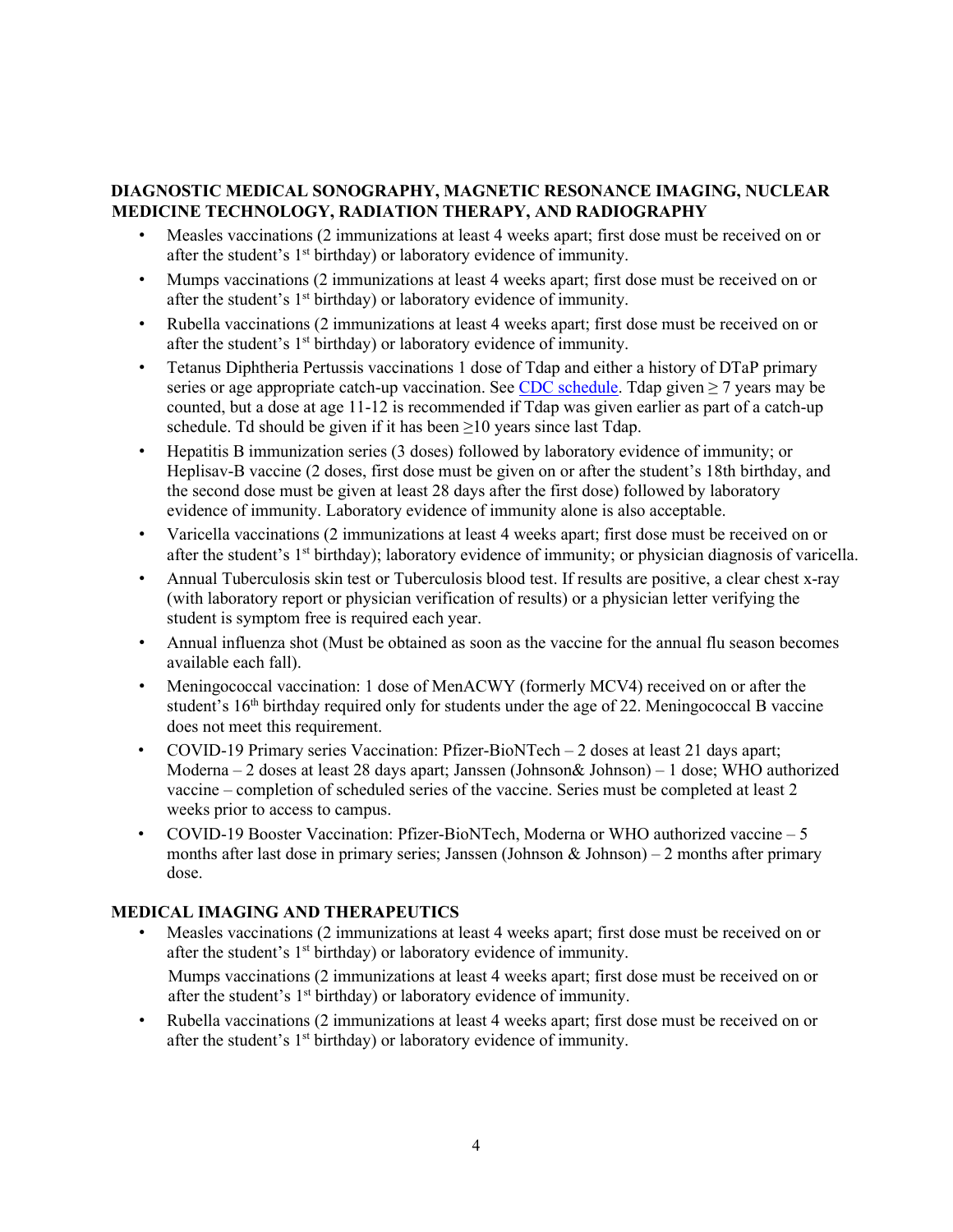# **DIAGNOSTIC MEDICAL SONOGRAPHY, MAGNETIC RESONANCE IMAGING, NUCLEAR MEDICINE TECHNOLOGY, RADIATION THERAPY, AND RADIOGRAPHY**

- Measles vaccinations (2 immunizations at least 4 weeks apart; first dose must be received on or after the student's 1<sup>st</sup> birthday) or laboratory evidence of immunity.
- Mumps vaccinations (2 immunizations at least 4 weeks apart; first dose must be received on or after the student's 1<sup>st</sup> birthday) or laboratory evidence of immunity.
- Rubella vaccinations (2 immunizations at least 4 weeks apart; first dose must be received on or after the student's  $1<sup>st</sup>$  birthday) or laboratory evidence of immunity.
- Tetanus Diphtheria Pertussis vaccinations 1 dose of Tdap and either a history of DTaP primary series or age appropriate catch-up vaccination. See [CDC schedule.](https://www.cdc.gov/vaccines/schedules/hcp/imz/catchup.html#note-tdap) Tdap given  $\geq$  7 years may be counted, but a dose at age 11-12 is recommended if Tdap was given earlier as part of a catch-up schedule. Td should be given if it has been  $\geq 10$  years since last Tdap.
- Hepatitis B immunization series (3 doses) followed by laboratory evidence of immunity; or Heplisav-B vaccine (2 doses, first dose must be given on or after the student's 18th birthday, and the second dose must be given at least 28 days after the first dose) followed by laboratory evidence of immunity. Laboratory evidence of immunity alone is also acceptable.
- Varicella vaccinations (2 immunizations at least 4 weeks apart; first dose must be received on or after the student's  $1<sup>st</sup>$  birthday); laboratory evidence of immunity; or physician diagnosis of varicella.
- Annual Tuberculosis skin test or Tuberculosis blood test. If results are positive, a clear chest x-ray (with laboratory report or physician verification of results) or a physician letter verifying the student is symptom free is required each year.
- Annual influenza shot (Must be obtained as soon as the vaccine for the annual flu season becomes available each fall).
- Meningococcal vaccination: 1 dose of MenACWY (formerly MCV4) received on or after the student's 16<sup>th</sup> birthday required only for students under the age of 22. Meningococcal B vaccine does not meet this requirement.
- COVID-19 Primary series Vaccination: Pfizer-BioNTech 2 doses at least 21 days apart; Moderna – 2 doses at least 28 days apart; Janssen (Johnson& Johnson) – 1 dose; WHO authorized vaccine – completion of scheduled series of the vaccine. Series must be completed at least 2 weeks prior to access to campus.
- COVID-19 Booster Vaccination: Pfizer-BioNTech, Moderna or WHO authorized vaccine 5 months after last dose in primary series; Janssen (Johnson & Johnson) – 2 months after primary dose.

# **MEDICAL IMAGING AND THERAPEUTICS**

• Measles vaccinations (2 immunizations at least 4 weeks apart; first dose must be received on or after the student's  $1<sup>st</sup>$  birthday) or laboratory evidence of immunity.

Mumps vaccinations (2 immunizations at least 4 weeks apart; first dose must be received on or after the student's 1<sup>st</sup> birthday) or laboratory evidence of immunity.

• Rubella vaccinations (2 immunizations at least 4 weeks apart; first dose must be received on or after the student's  $1<sup>st</sup>$  birthday) or laboratory evidence of immunity.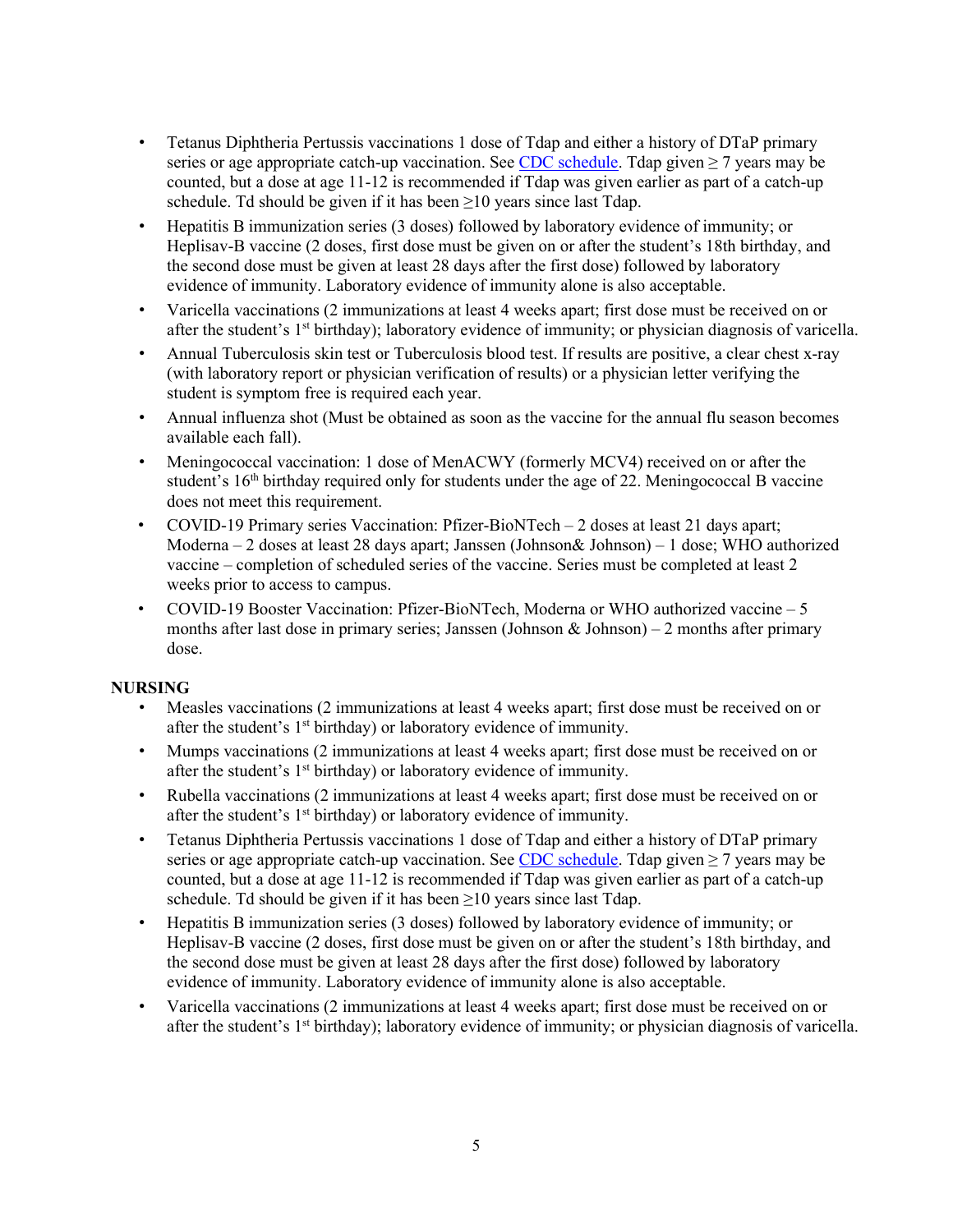- Tetanus Diphtheria Pertussis vaccinations 1 dose of Tdap and either a history of DTaP primary series or age appropriate catch-up vaccination. See [CDC schedule.](https://www.cdc.gov/vaccines/schedules/hcp/imz/catchup.html#note-tdap) Tdap given  $\geq$  7 years may be counted, but a dose at age 11-12 is recommended if Tdap was given earlier as part of a catch-up schedule. Td should be given if it has been  $\geq 10$  years since last Tdap.
- Hepatitis B immunization series (3 doses) followed by laboratory evidence of immunity; or Heplisav-B vaccine (2 doses, first dose must be given on or after the student's 18th birthday, and the second dose must be given at least 28 days after the first dose) followed by laboratory evidence of immunity. Laboratory evidence of immunity alone is also acceptable.
- Varicella vaccinations (2 immunizations at least 4 weeks apart; first dose must be received on or after the student's  $1<sup>st</sup>$  birthday); laboratory evidence of immunity; or physician diagnosis of varicella.
- Annual Tuberculosis skin test or Tuberculosis blood test. If results are positive, a clear chest x-ray (with laboratory report or physician verification of results) or a physician letter verifying the student is symptom free is required each year.
- Annual influenza shot (Must be obtained as soon as the vaccine for the annual flu season becomes available each fall).
- Meningococcal vaccination: 1 dose of MenACWY (formerly MCV4) received on or after the student's  $16<sup>th</sup>$  birthday required only for students under the age of 22. Meningococcal B vaccine does not meet this requirement.
- COVID-19 Primary series Vaccination: Pfizer-BioNTech 2 doses at least 21 days apart; Moderna – 2 doses at least 28 days apart; Janssen (Johnson& Johnson) – 1 dose; WHO authorized vaccine – completion of scheduled series of the vaccine. Series must be completed at least 2 weeks prior to access to campus.
- COVID-19 Booster Vaccination: Pfizer-BioNTech, Moderna or WHO authorized vaccine 5 months after last dose in primary series; Janssen (Johnson & Johnson) – 2 months after primary dose.

# **NURSING**

- Measles vaccinations (2 immunizations at least 4 weeks apart; first dose must be received on or after the student's  $1<sup>st</sup>$  birthday) or laboratory evidence of immunity.
- Mumps vaccinations (2 immunizations at least 4 weeks apart; first dose must be received on or after the student's 1<sup>st</sup> birthday) or laboratory evidence of immunity.
- Rubella vaccinations (2 immunizations at least 4 weeks apart; first dose must be received on or after the student's 1<sup>st</sup> birthday) or laboratory evidence of immunity.
- Tetanus Diphtheria Pertussis vaccinations 1 dose of Tdap and either a history of DTaP primary series or age appropriate catch-up vaccination. See [CDC schedule.](https://www.cdc.gov/vaccines/schedules/hcp/imz/catchup.html#note-tdap) Tdap given  $\geq$  7 years may be counted, but a dose at age 11-12 is recommended if Tdap was given earlier as part of a catch-up schedule. Td should be given if it has been  $\geq 10$  years since last Tdap.
- Hepatitis B immunization series (3 doses) followed by laboratory evidence of immunity; or Heplisav-B vaccine (2 doses, first dose must be given on or after the student's 18th birthday, and the second dose must be given at least 28 days after the first dose) followed by laboratory evidence of immunity. Laboratory evidence of immunity alone is also acceptable.
- Varicella vaccinations (2 immunizations at least 4 weeks apart; first dose must be received on or after the student's 1<sup>st</sup> birthday); laboratory evidence of immunity; or physician diagnosis of varicella.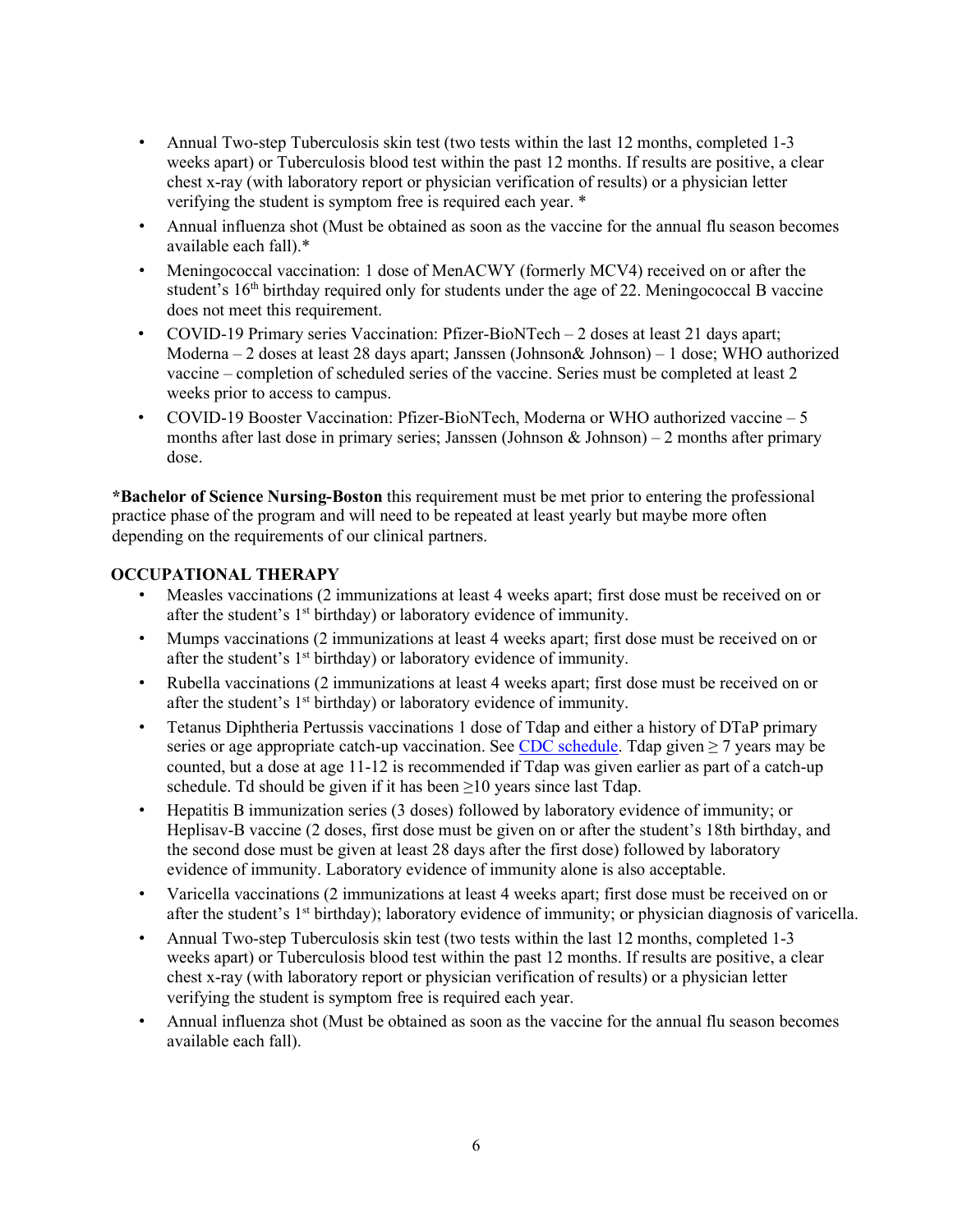- Annual Two-step Tuberculosis skin test (two tests within the last 12 months, completed 1-3 weeks apart) or Tuberculosis blood test within the past 12 months. If results are positive, a clear chest x-ray (with laboratory report or physician verification of results) or a physician letter verifying the student is symptom free is required each year. \*
- Annual influenza shot (Must be obtained as soon as the vaccine for the annual flu season becomes available each fall).\*
- Meningococcal vaccination: 1 dose of MenACWY (formerly MCV4) received on or after the student's  $16<sup>th</sup>$  birthday required only for students under the age of 22. Meningococcal B vaccine does not meet this requirement.
- COVID-19 Primary series Vaccination: Pfizer-BioNTech 2 doses at least 21 days apart; Moderna – 2 doses at least 28 days apart; Janssen (Johnson& Johnson) – 1 dose; WHO authorized vaccine – completion of scheduled series of the vaccine. Series must be completed at least 2 weeks prior to access to campus.
- COVID-19 Booster Vaccination: Pfizer-BioNTech, Moderna or WHO authorized vaccine 5 months after last dose in primary series; Janssen (Johnson & Johnson) – 2 months after primary dose.

**\*Bachelor of Science Nursing-Boston** this requirement must be met prior to entering the professional practice phase of the program and will need to be repeated at least yearly but maybe more often depending on the requirements of our clinical partners.

## **OCCUPATIONAL THERAPY**

- Measles vaccinations (2 immunizations at least 4 weeks apart; first dose must be received on or after the student's  $1<sup>st</sup>$  birthday) or laboratory evidence of immunity.
- Mumps vaccinations (2 immunizations at least 4 weeks apart; first dose must be received on or after the student's  $1<sup>st</sup>$  birthday) or laboratory evidence of immunity.
- Rubella vaccinations (2 immunizations at least 4 weeks apart; first dose must be received on or after the student's  $1<sup>st</sup>$  birthday) or laboratory evidence of immunity.
- Tetanus Diphtheria Pertussis vaccinations 1 dose of Tdap and either a history of DTaP primary series or age appropriate catch-up vaccination. See [CDC schedule.](https://www.cdc.gov/vaccines/schedules/hcp/imz/catchup.html#note-tdap) Tdap given  $\geq$  7 years may be counted, but a dose at age 11-12 is recommended if Tdap was given earlier as part of a catch-up schedule. Td should be given if it has been  $\geq$ 10 years since last Tdap.
- Hepatitis B immunization series (3 doses) followed by laboratory evidence of immunity; or Heplisav-B vaccine (2 doses, first dose must be given on or after the student's 18th birthday, and the second dose must be given at least 28 days after the first dose) followed by laboratory evidence of immunity. Laboratory evidence of immunity alone is also acceptable.
- Varicella vaccinations (2 immunizations at least 4 weeks apart; first dose must be received on or after the student's 1<sup>st</sup> birthday); laboratory evidence of immunity; or physician diagnosis of varicella.
- Annual Two-step Tuberculosis skin test (two tests within the last 12 months, completed 1-3 weeks apart) or Tuberculosis blood test within the past 12 months. If results are positive, a clear chest x-ray (with laboratory report or physician verification of results) or a physician letter verifying the student is symptom free is required each year.
- Annual influenza shot (Must be obtained as soon as the vaccine for the annual flu season becomes available each fall).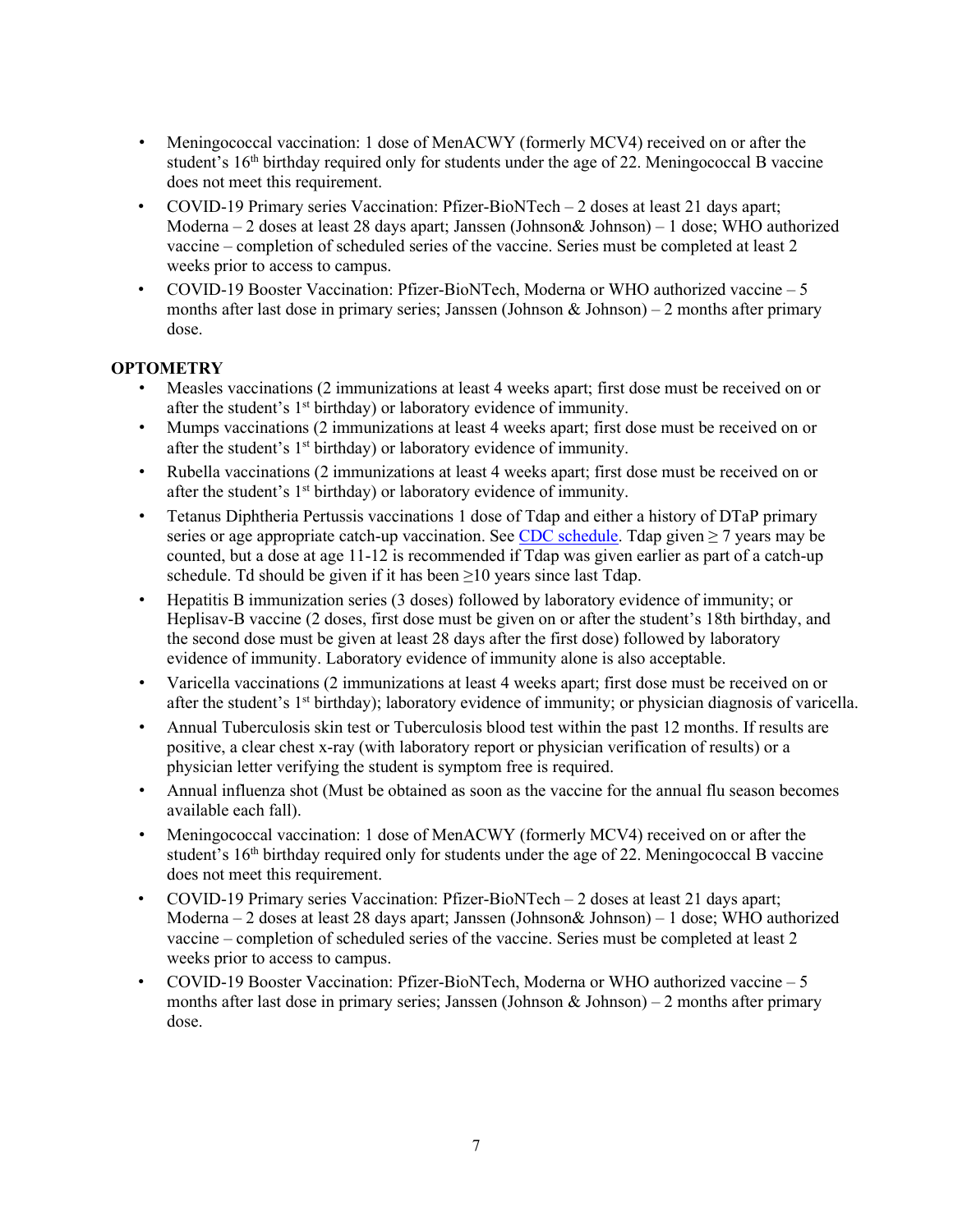- Meningococcal vaccination: 1 dose of MenACWY (formerly MCV4) received on or after the student's 16<sup>th</sup> birthday required only for students under the age of 22. Meningococcal B vaccine does not meet this requirement.
- COVID-19 Primary series Vaccination: Pfizer-BioNTech 2 doses at least 21 days apart; Moderna – 2 doses at least 28 days apart; Janssen (Johnson& Johnson) – 1 dose; WHO authorized vaccine – completion of scheduled series of the vaccine. Series must be completed at least 2 weeks prior to access to campus.
- COVID-19 Booster Vaccination: Pfizer-BioNTech, Moderna or WHO authorized vaccine 5 months after last dose in primary series; Janssen (Johnson & Johnson) – 2 months after primary dose.

# **OPTOMETRY**

- Measles vaccinations (2 immunizations at least 4 weeks apart; first dose must be received on or after the student's  $1<sup>st</sup>$  birthday) or laboratory evidence of immunity.
- Mumps vaccinations (2 immunizations at least 4 weeks apart; first dose must be received on or after the student's  $1<sup>st</sup>$  birthday) or laboratory evidence of immunity.
- Rubella vaccinations (2 immunizations at least 4 weeks apart; first dose must be received on or after the student's  $1<sup>st</sup>$  birthday) or laboratory evidence of immunity.
- Tetanus Diphtheria Pertussis vaccinations 1 dose of Tdap and either a history of DTaP primary series or age appropriate catch-up vaccination. See [CDC schedule.](https://www.cdc.gov/vaccines/schedules/hcp/imz/catchup.html#note-tdap) Tdap given  $\geq$  7 years may be counted, but a dose at age 11-12 is recommended if Tdap was given earlier as part of a catch-up schedule. Td should be given if it has been  $\geq 10$  years since last Tdap.
- Hepatitis B immunization series (3 doses) followed by laboratory evidence of immunity; or Heplisav-B vaccine (2 doses, first dose must be given on or after the student's 18th birthday, and the second dose must be given at least 28 days after the first dose) followed by laboratory evidence of immunity. Laboratory evidence of immunity alone is also acceptable.
- Varicella vaccinations (2 immunizations at least 4 weeks apart; first dose must be received on or after the student's  $1<sup>st</sup>$  birthday); laboratory evidence of immunity; or physician diagnosis of varicella.
- Annual Tuberculosis skin test or Tuberculosis blood test within the past 12 months. If results are positive, a clear chest x-ray (with laboratory report or physician verification of results) or a physician letter verifying the student is symptom free is required.
- Annual influenza shot (Must be obtained as soon as the vaccine for the annual flu season becomes available each fall).
- Meningococcal vaccination: 1 dose of MenACWY (formerly MCV4) received on or after the student's 16<sup>th</sup> birthday required only for students under the age of 22. Meningococcal B vaccine does not meet this requirement.
- COVID-19 Primary series Vaccination: Pfizer-BioNTech 2 doses at least 21 days apart; Moderna – 2 doses at least 28 days apart; Janssen (Johnson& Johnson) – 1 dose; WHO authorized vaccine – completion of scheduled series of the vaccine. Series must be completed at least 2 weeks prior to access to campus.
- COVID-19 Booster Vaccination: Pfizer-BioNTech, Moderna or WHO authorized vaccine 5 months after last dose in primary series; Janssen (Johnson & Johnson) – 2 months after primary dose.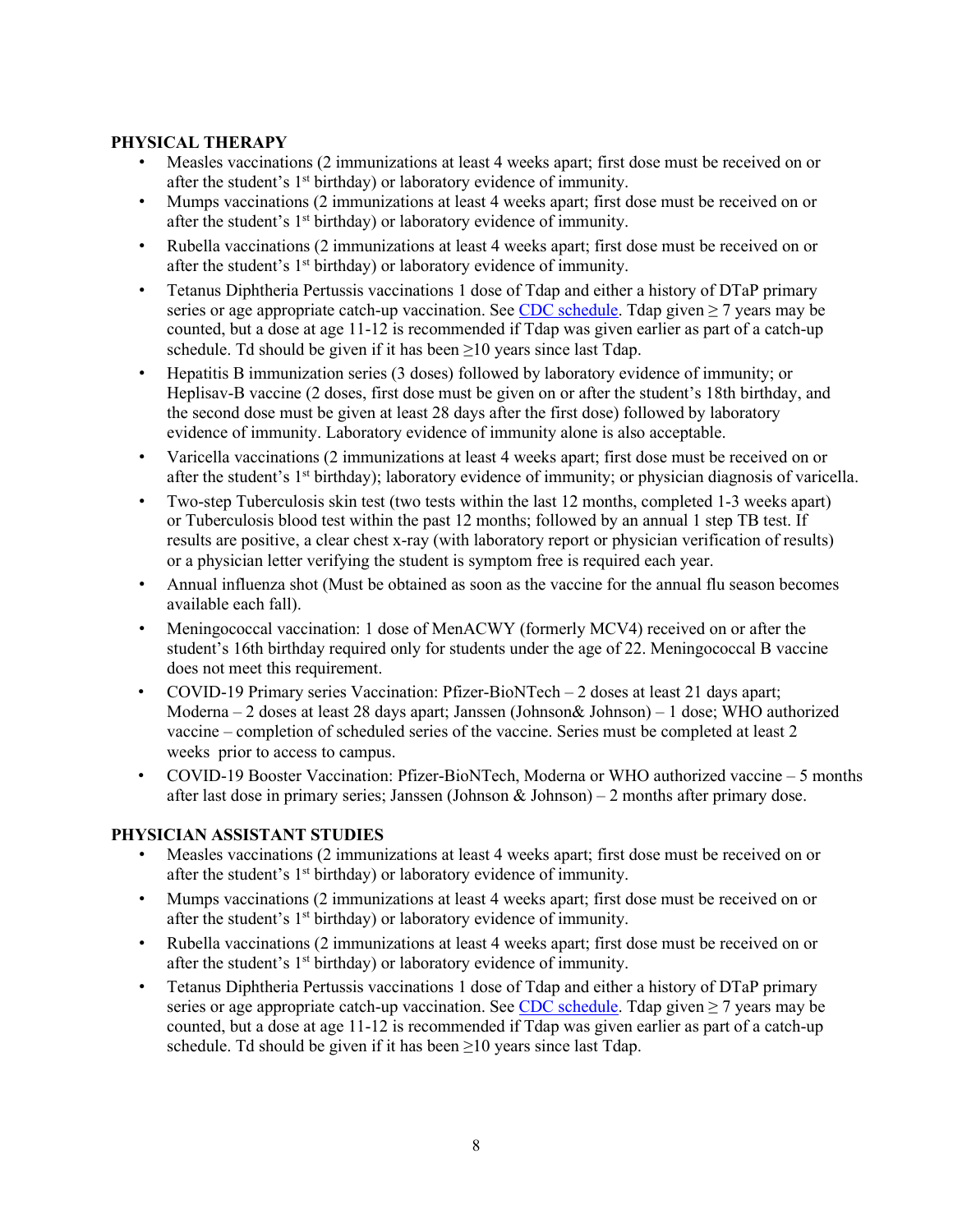## **PHYSICAL THERAPY**

- Measles vaccinations (2 immunizations at least 4 weeks apart; first dose must be received on or after the student's  $1<sup>st</sup>$  birthday) or laboratory evidence of immunity.
- Mumps vaccinations (2 immunizations at least 4 weeks apart; first dose must be received on or after the student's  $1<sup>st</sup>$  birthday) or laboratory evidence of immunity.
- Rubella vaccinations (2 immunizations at least 4 weeks apart; first dose must be received on or after the student's 1<sup>st</sup> birthday) or laboratory evidence of immunity.
- Tetanus Diphtheria Pertussis vaccinations 1 dose of Tdap and either a history of DTaP primary series or age appropriate catch-up vaccination. See CDC schedule. Tdap given  $\geq$  7 years may be counted, but a dose at age 11-12 is recommended if Tdap was given earlier as part of a catch-up schedule. Td should be given if it has been  $\geq 10$  years since last Tdap.
- Hepatitis B immunization series (3 doses) followed by laboratory evidence of immunity; or Heplisav-B vaccine (2 doses, first dose must be given on or after the student's 18th birthday, and the second dose must be given at least 28 days after the first dose) followed by laboratory evidence of immunity. Laboratory evidence of immunity alone is also acceptable.
- Varicella vaccinations (2 immunizations at least 4 weeks apart; first dose must be received on or after the student's 1<sup>st</sup> birthday); laboratory evidence of immunity; or physician diagnosis of varicella.
- Two-step Tuberculosis skin test (two tests within the last 12 months, completed 1-3 weeks apart) or Tuberculosis blood test within the past 12 months; followed by an annual 1 step TB test. If results are positive, a clear chest x-ray (with laboratory report or physician verification of results) or a physician letter verifying the student is symptom free is required each year.
- Annual influenza shot (Must be obtained as soon as the vaccine for the annual flu season becomes available each fall).
- Meningococcal vaccination: 1 dose of MenACWY (formerly MCV4) received on or after the student's 16th birthday required only for students under the age of 22. Meningococcal B vaccine does not meet this requirement.
- COVID-19 Primary series Vaccination: Pfizer-BioNTech 2 doses at least 21 days apart; Moderna – 2 doses at least 28 days apart; Janssen (Johnson& Johnson) – 1 dose; WHO authorized vaccine – completion of scheduled series of the vaccine. Series must be completed at least 2 weeks prior to access to campus.
- COVID-19 Booster Vaccination: Pfizer-BioNTech, Moderna or WHO authorized vaccine 5 months after last dose in primary series; Janssen (Johnson & Johnson) – 2 months after primary dose.

### **PHYSICIAN ASSISTANT STUDIES**

- Measles vaccinations (2 immunizations at least 4 weeks apart; first dose must be received on or after the student's  $1<sup>st</sup>$  birthday) or laboratory evidence of immunity.
- Mumps vaccinations (2 immunizations at least 4 weeks apart; first dose must be received on or after the student's  $1<sup>st</sup>$  birthday) or laboratory evidence of immunity.
- Rubella vaccinations (2 immunizations at least 4 weeks apart; first dose must be received on or after the student's  $1<sup>st</sup>$  birthday) or laboratory evidence of immunity.
- Tetanus Diphtheria Pertussis vaccinations 1 dose of Tdap and either a history of DTaP primary series or age appropriate catch-up vaccination. See CDC schedule. Tdap given  $\geq$  7 years may be counted, but a dose at age 11-12 is recommended if Tdap was given earlier as part of a catch-up schedule. Td should be given if it has been  $\geq 10$  years since last Tdap.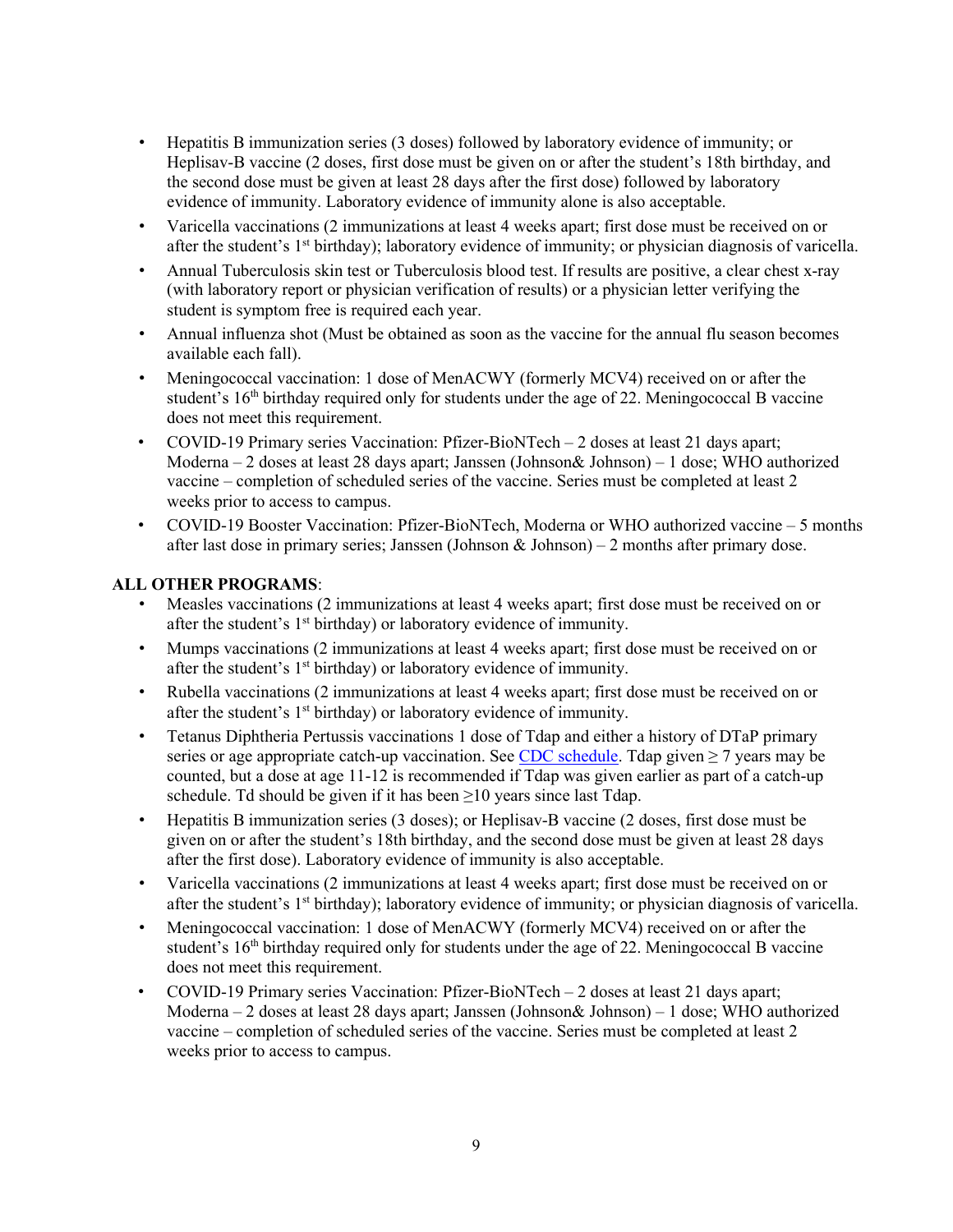- Hepatitis B immunization series (3 doses) followed by laboratory evidence of immunity; or Heplisav-B vaccine (2 doses, first dose must be given on or after the student's 18th birthday, and the second dose must be given at least 28 days after the first dose) followed by laboratory evidence of immunity. Laboratory evidence of immunity alone is also acceptable.
- Varicella vaccinations (2 immunizations at least 4 weeks apart; first dose must be received on or after the student's  $1<sup>st</sup>$  birthday); laboratory evidence of immunity; or physician diagnosis of varicella.
- Annual Tuberculosis skin test or Tuberculosis blood test. If results are positive, a clear chest x-ray (with laboratory report or physician verification of results) or a physician letter verifying the student is symptom free is required each year.
- Annual influenza shot (Must be obtained as soon as the vaccine for the annual flu season becomes available each fall).
- Meningococcal vaccination: 1 dose of MenACWY (formerly MCV4) received on or after the student's 16<sup>th</sup> birthday required only for students under the age of 22. Meningococcal B vaccine does not meet this requirement.
- COVID-19 Primary series Vaccination: Pfizer-BioNTech  $-2$  doses at least 21 days apart; Moderna – 2 doses at least 28 days apart; Janssen (Johnson& Johnson) – 1 dose; WHO authorized vaccine – completion of scheduled series of the vaccine. Series must be completed at least 2 weeks prior to access to campus.
- COVID-19 Booster Vaccination: Pfizer-BioNTech, Moderna or WHO authorized vaccine 5 months after last dose in primary series; Janssen (Johnson  $\&$  Johnson) – 2 months after primary dose.

## **ALL OTHER PROGRAMS**:

- Measles vaccinations (2 immunizations at least 4 weeks apart; first dose must be received on or after the student's 1<sup>st</sup> birthday) or laboratory evidence of immunity.
- Mumps vaccinations (2 immunizations at least 4 weeks apart; first dose must be received on or after the student's 1<sup>st</sup> birthday) or laboratory evidence of immunity.
- Rubella vaccinations (2 immunizations at least 4 weeks apart; first dose must be received on or after the student's  $1<sup>st</sup>$  birthday) or laboratory evidence of immunity.
- Tetanus Diphtheria Pertussis vaccinations 1 dose of Tdap and either a history of DTaP primary series or age appropriate catch-up vaccination. See CDC schedule. Tdap given  $\geq 7$  years may be counted, but a dose at age 11-12 is recommended if Tdap was given earlier as part of a catch-up schedule. Td should be given if it has been  $\geq 10$  years since last Tdap.
- Hepatitis B immunization series (3 doses); or Heplisav-B vaccine (2 doses, first dose must be given on or after the student's 18th birthday, and the second dose must be given at least 28 days after the first dose). Laboratory evidence of immunity is also acceptable.
- Varicella vaccinations (2 immunizations at least 4 weeks apart; first dose must be received on or after the student's  $1<sup>st</sup>$  birthday); laboratory evidence of immunity; or physician diagnosis of varicella.
- Meningococcal vaccination: 1 dose of MenACWY (formerly MCV4) received on or after the student's 16<sup>th</sup> birthday required only for students under the age of 22. Meningococcal B vaccine does not meet this requirement.
- COVID-19 Primary series Vaccination: Pfizer-BioNTech 2 doses at least 21 days apart; Moderna – 2 doses at least 28 days apart; Janssen (Johnson& Johnson) – 1 dose; WHO authorized vaccine – completion of scheduled series of the vaccine. Series must be completed at least 2 weeks prior to access to campus.